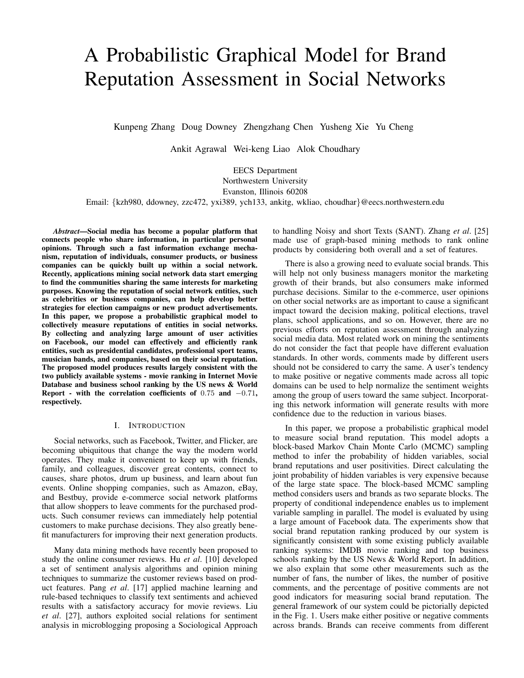# A Probabilistic Graphical Model for Brand Reputation Assessment in Social Networks

Kunpeng Zhang Doug Downey Zhengzhang Chen Yusheng Xie Yu Cheng

Ankit Agrawal Wei-keng Liao Alok Choudhary

EECS Department Northwestern University Evanston, Illinois 60208 Email: {kzh980, ddowney, zzc472, yxi389, ych133, ankitg, wkliao, choudhar}@eecs.northwestern.edu

*Abstract*—Social media has become a popular platform that connects people who share information, in particular personal opinions. Through such a fast information exchange mechanism, reputation of individuals, consumer products, or business companies can be quickly built up within a social network. Recently, applications mining social network data start emerging to find the communities sharing the same interests for marketing purposes. Knowing the reputation of social network entities, such as celebrities or business companies, can help develop better strategies for election campaigns or new product advertisements. In this paper, we propose a probabilistic graphical model to collectively measure reputations of entities in social networks. By collecting and analyzing large amount of user activities on Facebook, our model can effectively and efficiently rank entities, such as presidential candidates, professional sport teams, musician bands, and companies, based on their social reputation. The proposed model produces results largely consistent with the two publicly available systems - movie ranking in Internet Movie Database and business school ranking by the US news & World Report - with the correlation coefficients of  $0.75$  and  $-0.71$ , respectively.

# I. INTRODUCTION

Social networks, such as Facebook, Twitter, and Flicker, are becoming ubiquitous that change the way the modern world operates. They make it convenient to keep up with friends, family, and colleagues, discover great contents, connect to causes, share photos, drum up business, and learn about fun events. Online shopping companies, such as Amazon, eBay, and Bestbuy, provide e-commerce social network platforms that allow shoppers to leave comments for the purchased products. Such consumer reviews can immediately help potential customers to make purchase decisions. They also greatly benefit manufacturers for improving their next generation products.

Many data mining methods have recently been proposed to study the online consumer reviews. Hu *et al*. [10] developed a set of sentiment analysis algorithms and opinion mining techniques to summarize the customer reviews based on product features. Pang *et al*. [17] applied machine learning and rule-based techniques to classify text sentiments and achieved results with a satisfactory accuracy for movie reviews. Liu *et al*. [27], authors exploited social relations for sentiment analysis in microblogging proposing a Sociological Approach to handling Noisy and short Texts (SANT). Zhang *et al*. [25] made use of graph-based mining methods to rank online products by considering both overall and a set of features.

There is also a growing need to evaluate social brands. This will help not only business managers monitor the marketing growth of their brands, but also consumers make informed purchase decisions. Similar to the e-commerce, user opinions on other social networks are as important to cause a significant impact toward the decision making, political elections, travel plans, school applications, and so on. However, there are no previous efforts on reputation assessment through analyzing social media data. Most related work on mining the sentiments do not consider the fact that people have different evaluation standards. In other words, comments made by different users should not be considered to carry the same. A user's tendency to make positive or negative comments made across all topic domains can be used to help normalize the sentiment weights among the group of users toward the same subject. Incorporating this network information will generate results with more confidence due to the reduction in various biases.

In this paper, we propose a probabilistic graphical model to measure social brand reputation. This model adopts a block-based Markov Chain Monte Carlo (MCMC) sampling method to infer the probability of hidden variables, social brand reputations and user positivities. Direct calculating the joint probability of hidden variables is very expensive because of the large state space. The block-based MCMC sampling method considers users and brands as two separate blocks. The property of conditional independence enables us to implement variable sampling in parallel. The model is evaluated by using a large amount of Facebook data. The experiments show that social brand reputation ranking produced by our system is significantly consistent with some existing publicly available ranking systems: IMDB movie ranking and top business schools ranking by the US News & World Report. In addition, we also explain that some other measurements such as the number of fans, the number of likes, the number of positive comments, and the percentage of positive comments are not good indicators for measuring social brand reputation. The general framework of our system could be pictorially depicted in the Fig. 1. Users make either positive or negative comments across brands. Brands can receive comments from different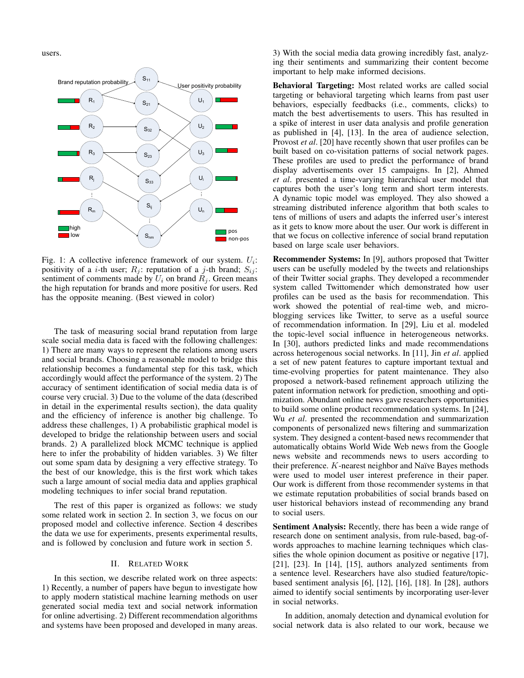users.



Fig. 1: A collective inference framework of our system.  $U_i$ : positivity of a *i*-th user;  $R_i$ : reputation of a *j*-th brand;  $S_{ij}$ : sentiment of comments made by  $U_i$  on brand  $R_i$ . Green means the high reputation for brands and more positive for users. Red has the opposite meaning. (Best viewed in color)

The task of measuring social brand reputation from large scale social media data is faced with the following challenges: 1) There are many ways to represent the relations among users and social brands. Choosing a reasonable model to bridge this relationship becomes a fundamental step for this task, which accordingly would affect the performance of the system. 2) The accuracy of sentiment identification of social media data is of course very crucial. 3) Due to the volume of the data (described in detail in the experimental results section), the data quality and the efficiency of inference is another big challenge. To address these challenges, 1) A probabilistic graphical model is developed to bridge the relationship between users and social brands. 2) A parallelized block MCMC technique is applied here to infer the probability of hidden variables. 3) We filter out some spam data by designing a very effective strategy. To the best of our knowledge, this is the first work which takes such a large amount of social media data and applies graphical modeling techniques to infer social brand reputation.

The rest of this paper is organized as follows: we study some related work in section 2. In section 3, we focus on our proposed model and collective inference. Section 4 describes the data we use for experiments, presents experimental results, and is followed by conclusion and future work in section 5.

## II. RELATED WORK

In this section, we describe related work on three aspects: 1) Recently, a number of papers have begun to investigate how to apply modern statistical machine learning methods on user generated social media text and social network information for online advertising. 2) Different recommendation algorithms and systems have been proposed and developed in many areas.

3) With the social media data growing incredibly fast, analyzing their sentiments and summarizing their content become important to help make informed decisions.

Behavioral Targeting: Most related works are called social targeting or behavioral targeting which learns from past user behaviors, especially feedbacks (i.e., comments, clicks) to match the best advertisements to users. This has resulted in a spike of interest in user data analysis and profile generation as published in [4], [13]. In the area of audience selection, Provost *et al*. [20] have recently shown that user profiles can be built based on co-visitation patterns of social network pages. These profiles are used to predict the performance of brand display advertisements over 15 campaigns. In [2], Ahmed *et al*. presented a time-varying hierarchical user model that captures both the user's long term and short term interests. A dynamic topic model was employed. They also showed a streaming distributed inference algorithm that both scales to tens of millions of users and adapts the inferred user's interest as it gets to know more about the user. Our work is different in that we focus on collective inference of social brand reputation based on large scale user behaviors.

Recommender Systems: In [9], authors proposed that Twitter users can be usefully modeled by the tweets and relationships of their Twitter social graphs. They developed a recommender system called Twittomender which demonstrated how user profiles can be used as the basis for recommendation. This work showed the potential of real-time web, and microblogging services like Twitter, to serve as a useful source of recommendation information. In [29], Liu et al. modeled the topic-level social influence in heterogeneous networks. In [30], authors predicted links and made recommendations across heterogenous social networks. In [11], Jin *et al*. applied a set of new patent features to capture important textual and time-evolving properties for patent maintenance. They also proposed a network-based refinement approach utilizing the patent information network for prediction, smoothing and optimization. Abundant online news gave researchers opportunities to build some online product recommendation systems. In [24], Wu *et al.* presented the recommendation and summarization components of personalized news filtering and summarization system. They designed a content-based news recommender that automatically obtains World Wide Web news from the Google news website and recommends news to users according to their preference.  $K$ -nearest neighbor and Naïve Bayes methods were used to model user interest preference in their paper. Our work is different from those recommender systems in that we estimate reputation probabilities of social brands based on user historical behaviors instead of recommending any brand to social users.

Sentiment Analysis: Recently, there has been a wide range of research done on sentiment analysis, from rule-based, bag-ofwords approaches to machine learning techniques which classifies the whole opinion document as positive or negative [17], [21], [23]. In [14], [15], authors analyzed sentiments from a sentence level. Researchers have also studied feature/topicbased sentiment analysis [6], [12], [16], [18]. In [28], authors aimed to identify social sentiments by incorporating user-lever in social networks.

In addition, anomaly detection and dynamical evolution for social network data is also related to our work, because we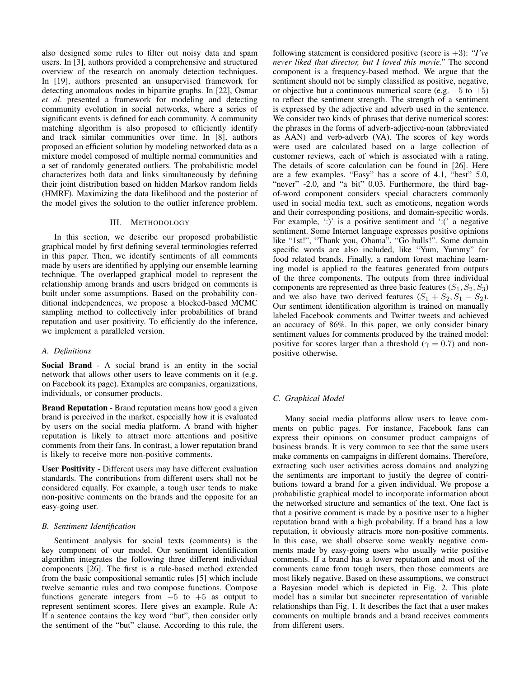also designed some rules to filter out noisy data and spam users. In [3], authors provided a comprehensive and structured overview of the research on anomaly detection techniques. In [19], authors presented an unsupervised framework for detecting anomalous nodes in bipartite graphs. In [22], Osmar *et al*. presented a framework for modeling and detecting community evolution in social networks, where a series of significant events is defined for each community. A community matching algorithm is also proposed to efficiently identify and track similar communities over time. In [8], authors proposed an efficient solution by modeling networked data as a mixture model composed of multiple normal communities and a set of randomly generated outliers. The probabilistic model characterizes both data and links simultaneously by defining their joint distribution based on hidden Markov random fields (HMRF). Maximizing the data likelihood and the posterior of the model gives the solution to the outlier inference problem.

## III. METHODOLOGY

In this section, we describe our proposed probabilistic graphical model by first defining several terminologies referred in this paper. Then, we identify sentiments of all comments made by users are identified by applying our ensemble learning technique. The overlapped graphical model to represent the relationship among brands and users bridged on comments is built under some assumptions. Based on the probability conditional independences, we propose a blocked-based MCMC sampling method to collectively infer probabilities of brand reputation and user positivity. To efficiently do the inference, we implement a paralleled version.

# *A. Definitions*

Social Brand - A social brand is an entity in the social network that allows other users to leave comments on it (e.g. on Facebook its page). Examples are companies, organizations, individuals, or consumer products.

Brand Reputation - Brand reputation means how good a given brand is perceived in the market, especially how it is evaluated by users on the social media platform. A brand with higher reputation is likely to attract more attentions and positive comments from their fans. In contrast, a lower reputation brand is likely to receive more non-positive comments.

User Positivity - Different users may have different evaluation standards. The contributions from different users shall not be considered equally. For example, a tough user tends to make non-positive comments on the brands and the opposite for an easy-going user.

## *B. Sentiment Identification*

Sentiment analysis for social texts (comments) is the key component of our model. Our sentiment identification algorithm integrates the following three different individual components [26]. The first is a rule-based method extended from the basic compositional semantic rules [5] which include twelve semantic rules and two compose functions. Compose functions generate integers from  $-5$  to  $+5$  as output to represent sentiment scores. Here gives an example. Rule A: If a sentence contains the key word "but", then consider only the sentiment of the "but" clause. According to this rule, the following statement is considered positive (score is +3): *"I've never liked that director, but I loved this movie."* The second component is a frequency-based method. We argue that the sentiment should not be simply classified as positive, negative, or objective but a continuous numerical score (e.g.  $-5$  to  $+5$ ) to reflect the sentiment strength. The strength of a sentiment is expressed by the adjective and adverb used in the sentence. We consider two kinds of phrases that derive numerical scores: the phrases in the forms of adverb-adjective-noun (abbreviated as AAN) and verb-adverb (VA). The scores of key words were used are calculated based on a large collection of customer reviews, each of which is associated with a rating. The details of score calculation can be found in [26]. Here are a few examples. "Easy" has a score of 4.1, "best" 5.0, "never" -2.0, and "a bit" 0.03. Furthermore, the third bagof-word component considers special characters commonly used in social media text, such as emoticons, negation words and their corresponding positions, and domain-specific words. For example,  $\cdot$ :)' is a positive sentiment and  $\cdot$ :(' a negative sentiment. Some Internet language expresses positive opinions like "1st!", "Thank you, Obama", "Go bulls!". Some domain specific words are also included, like "Yum, Yummy" for food related brands. Finally, a random forest machine learning model is applied to the features generated from outputs of the three components. The outputs from three individual components are represented as three basic features  $(S_1, S_2, S_3)$ and we also have two derived features  $(S_1 + S_2, S_1 - S_2)$ . Our sentiment identification algorithm is trained on manually labeled Facebook comments and Twitter tweets and achieved an accuracy of 86%. In this paper, we only consider binary sentiment values for comments produced by the trained model: positive for scores larger than a threshold ( $\gamma = 0.7$ ) and nonpositive otherwise.

# *C. Graphical Model*

Many social media platforms allow users to leave comments on public pages. For instance, Facebook fans can express their opinions on consumer product campaigns of business brands. It is very common to see that the same users make comments on campaigns in different domains. Therefore, extracting such user activities across domains and analyzing the sentiments are important to justify the degree of contributions toward a brand for a given individual. We propose a probabilistic graphical model to incorporate information about the networked structure and semantics of the text. One fact is that a positive comment is made by a positive user to a higher reputation brand with a high probability. If a brand has a low reputation, it obviously attracts more non-positive comments. In this case, we shall observe some weakly negative comments made by easy-going users who usually write positive comments. If a brand has a lower reputation and most of the comments came from tough users, then those comments are most likely negative. Based on these assumptions, we construct a Bayesian model which is depicted in Fig. 2. This plate model has a similar but succincter representation of variable relationships than Fig. 1. It describes the fact that a user makes comments on multiple brands and a brand receives comments from different users.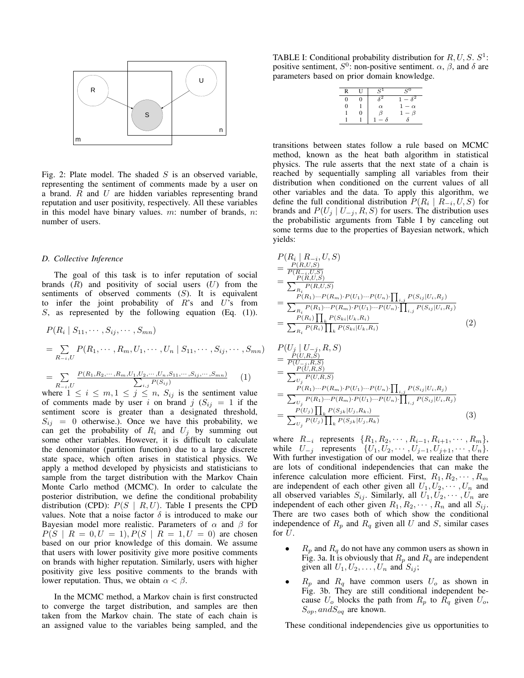

Fig. 2: Plate model. The shaded  $S$  is an observed variable, representing the sentiment of comments made by a user on a brand.  $R$  and  $U$  are hidden variables representing brand reputation and user positivity, respectively. All these variables in this model have binary values.  $m$ : number of brands,  $n$ : number of users.

### *D. Collective Inference*

The goal of this task is to infer reputation of social brands  $(R)$  and positivity of social users  $(U)$  from the sentiments of observed comments  $(S)$ . It is equivalent to infer the joint probability of  $R$ 's and  $U$ 's from S, as represented by the following equation (Eq.  $(1)$ ).

$$
P(R_i | S_{11}, \dots, S_{ij}, \dots, S_{mn})
$$
  
=  $\sum_{R_{-i},U} P(R_1, \dots, R_m, U_1, \dots, U_n | S_{11}, \dots, S_{ij}, \dots, S_{mn})$   
=  $\sum_{R_{-i},U} \frac{P(R_1, R_2, \dots, R_m, U_1, U_2, \dots, U_n, S_{11}, \dots, S_{ij}, \dots, S_{mn})}{\sum_{i,j} P(S_{ij})}$  (1)

where  $1 \leq i \leq m, 1 \leq j \leq n$ ,  $S_{ij}$  is the sentiment value of comments made by user i on brand j  $(S_{ij} = 1$  if the sentiment score is greater than a designated threshold,  $S_{ij} = 0$  otherwise.). Once we have this probability, we can get the probability of  $R_i$  and  $U_j$  by summing out some other variables. However, it is difficult to calculate the denominator (partition function) due to a large discrete state space, which often arises in statistical physics. We apply a method developed by physicists and statisticians to sample from the target distribution with the Markov Chain Monte Carlo method (MCMC). In order to calculate the posterior distribution, we define the conditional probability distribution (CPD):  $P(S \mid R, U)$ . Table I presents the CPD values. Note that a noise factor  $\delta$  is introduced to make our Bayesian model more realistic. Parameters of  $\alpha$  and  $\beta$  for  $P(S \mid R = 0, U = 1), P(S \mid R = 1, U = 0)$  are chosen based on our prior knowledge of this domain. We assume that users with lower positivity give more positive comments on brands with higher reputation. Similarly, users with higher positivity give less positive comments to the brands with lower reputation. Thus, we obtain  $\alpha < \beta$ .

In the MCMC method, a Markov chain is first constructed to converge the target distribution, and samples are then taken from the Markov chain. The state of each chain is an assigned value to the variables being sampled, and the

TABLE I: Conditional probability distribution for  $R, U, S, S^1$ : positive sentiment,  $S^0$ : non-positive sentiment.  $\alpha$ ,  $\beta$ , and  $\delta$  are parameters based on prior domain knowledge.

|   |   | $S^1$    | $\overline{S}{}^0$ |
|---|---|----------|--------------------|
|   |   |          |                    |
| 0 |   | $\alpha$ | $-\alpha$          |
|   | 0 |          | ß                  |
|   |   |          |                    |

transitions between states follow a rule based on MCMC method, known as the heat bath algorithm in statistical physics. The rule asserts that the next state of a chain is reached by sequentially sampling all variables from their distribution when conditioned on the current values of all other variables and the data. To apply this algorithm, we define the full conditional distribution  $P(R_i | R_{-i}, U, S)$  for brands and  $P(U_j | U_{-j}, R, S)$  for users. The distribution uses the probabilistic arguments from Table I by canceling out some terms due to the properties of Bayesian network, which yields:

$$
P(R_i | R_{-i}, U, S) = \frac{P(R, U, S)}{P(R_{-i}, U, S)}
$$
  
= 
$$
\frac{P(R, U, S)}{P(R, U, S)}
$$
  
= 
$$
\frac{P(R_1) \cdots P(R_m) \cdot P(U_1) \cdots P(U_n) \cdot \prod_{i,j} P(S_{ij} | U_i, R_j)}{\sum_{R_i} P(R_1) \cdots P(R_m) \cdot P(U_1) \cdots P(U_n) \cdot \prod_{i,j} P(S_{ij} | U_i, R_j)}
$$
  
= 
$$
\frac{P(R_i) \prod_k P(S_{ki} | U_k, R_i)}{\sum_{R_i} P(R_i) \prod_k P(S_{ki} | U_k, R_i)}
$$
(2)

$$
P(U_j | U_{-j}, R, S)
$$
  
= 
$$
\frac{P(U, R, S)}{P(U_{-j}, R, S)}
$$
  
= 
$$
\frac{P(U, R, S)}{\sum_{U_j} P(U, R, S)}
$$
  
= 
$$
\frac{P(R_1) \cdots P(R_m) \cdot P(U_1) \cdots P(U_n) \cdot \prod_{i,j} P(S_{ij} | U_i, R_j)}{\sum_{U_j} P(R_1) \cdots P(R_m) \cdot P(U_1) \cdots P(U_n) \cdot \prod_{i,j} P(S_{ij} | U_i, R_j)}
$$
  
= 
$$
\frac{P(U_j) \prod_k P(S_{jk} | U_j, R_k)}{\sum_{U_j} P(U_j) \prod_k P(S_{jk} | U_j, R_k)}
$$
(3)

where  $R_{-i}$  represents  $\{R_1, R_2, \cdots, R_{i-1}, R_{i+1}, \cdots, R_m\},\$ while  $U_{-j}$  represents  $\{U_1, U_2, \cdots, U_{j-1}, U_{j+1}, \cdots, U_n\}.$ With further investigation of our model, we realize that there are lots of conditional independencies that can make the inference calculation more efficient. First,  $R_1, R_2, \cdots, R_m$ are independent of each other given all  $U_1, U_2, \cdots, U_n$  and all observed variables  $S_{ij}$ . Similarly, all  $U_1, U_2, \cdots, U_n$  are independent of each other given  $R_1, R_2, \cdots, R_n$  and all  $S_{ij}$ . There are two cases both of which show the conditional independence of  $R_p$  and  $R_q$  given all U and S, similar cases for  $U$ .

- $R_p$  and  $R_q$  do not have any common users as shown in Fig. 3a. It is obviously that  $R_p$  and  $R_q$  are independent given all  $U_1, U_2, \ldots, U_n$  and  $S_{ij}$ ;
- $R_p$  and  $R_q$  have common users  $U_o$  as shown in Fig. 3b. They are still conditional independent because  $U_o$  blocks the path from  $R_p$  to  $R_q$  given  $U_o$ ,  $S_{op}$ , and  $S_{og}$  are known.

These conditional independencies give us opportunities to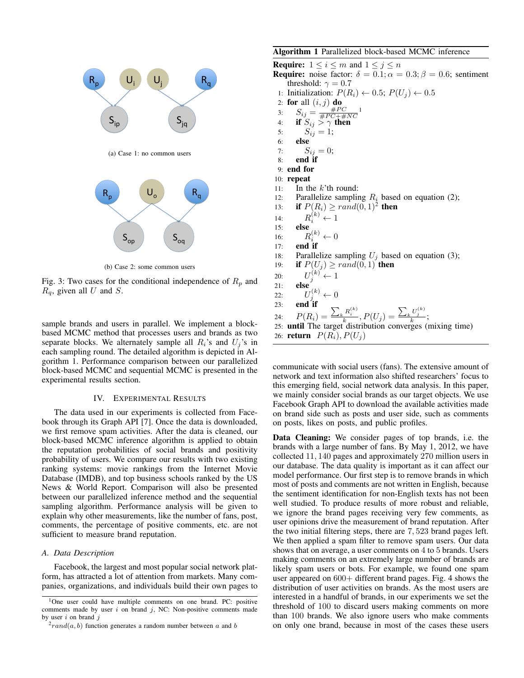

(b) Case 2: some common users

Fig. 3: Two cases for the conditional independence of  $R_p$  and  $R_q$ , given all U and S.

sample brands and users in parallel. We implement a blockbased MCMC method that processes users and brands as two separate blocks. We alternately sample all  $R_i$ 's and  $U_i$ 's in each sampling round. The detailed algorithm is depicted in Algorithm 1. Performance comparison between our parallelized block-based MCMC and sequential MCMC is presented in the experimental results section.

# IV. EXPERIMENTAL RESULTS

The data used in our experiments is collected from Facebook through its Graph API [7]. Once the data is downloaded, we first remove spam activities. After the data is cleaned, our block-based MCMC inference algorithm is applied to obtain the reputation probabilities of social brands and positivity probability of users. We compare our results with two existing ranking systems: movie rankings from the Internet Movie Database (IMDB), and top business schools ranked by the US News & World Report. Comparison will also be presented between our parallelized inference method and the sequential sampling algorithm. Performance analysis will be given to explain why other measurements, like the number of fans, post, comments, the percentage of positive comments, etc. are not sufficient to measure brand reputation.

#### *A. Data Description*

Facebook, the largest and most popular social network platform, has attracted a lot of attention from markets. Many companies, organizations, and individuals build their own pages to

# Algorithm 1 Parallelized block-based MCMC inference

**Require:**  $1 \leq i \leq m$  and  $1 \leq j \leq n$ **Require:** noise factor:  $\delta = 0.1; \alpha = 0.3; \beta = 0.6;$  sentiment threshold:  $\gamma = 0.7$ 1: Initialization:  $P(R_i) \leftarrow 0.5; P(U_j) \leftarrow 0.5$ 2: for all  $(i, j)$  do 3:  $S_{ij} = \frac{\#PC}{\#PC + \#NC}$ <sup>1</sup> 4: if  $S_{ij} > \gamma$  then 5:  $S_{ij} = 1;$ 6: else 7:  $S_{ij} = 0;$ 8: end if 9: end for 10: repeat 11: In the  $k$ 'th round: 12: Parallelize sampling  $R_i$  based on equation (2); 13: if  $P(R_i) \geq rand(0, 1)^2$  then 14:  $R_i^{(k)} \leftarrow 1$ 15: else 16:  $R_i^{(k)} \leftarrow 0$ 17: end if 18: Parallelize sampling  $U_j$  based on equation (3); 19: **if**  $P(U_j) \geq rand(0, 1)$  then 20:  $U_i^{(k)}$  $\leftarrow 1$ 21: else 22:  $U_j^{(k)} \leftarrow 0$ 23: **end if** 24:  $P(R_i) = \frac{\sum_k R_i^{(k)}}{k} , P(U_j) = \frac{\sum_k U_j^{(k)}}{k} ;$ 25: until The target distribution converges (mixing time) 26: **return**  $P(R_i)$ ,  $P(U_i)$ 

communicate with social users (fans). The extensive amount of network and text information also shifted researchers' focus to this emerging field, social network data analysis. In this paper, we mainly consider social brands as our target objects. We use Facebook Graph API to download the available activities made on brand side such as posts and user side, such as comments on posts, likes on posts, and public profiles.

Data Cleaning: We consider pages of top brands, i.e. the brands with a large number of fans. By May 1, 2012, we have collected 11, 140 pages and approximately 270 million users in our database. The data quality is important as it can affect our model performance. Our first step is to remove brands in which most of posts and comments are not written in English, because the sentiment identification for non-English texts has not been well studied. To produce results of more robust and reliable, we ignore the brand pages receiving very few comments, as user opinions drive the measurement of brand reputation. After the two initial filtering steps, there are 7, 523 brand pages left. We then applied a spam filter to remove spam users. Our data shows that on average, a user comments on 4 to 5 brands. Users making comments on an extremely large number of brands are likely spam users or bots. For example, we found one spam user appeared on  $600+$  different brand pages. Fig. 4 shows the distribution of user activities on brands. As the most users are interested in a handful of brands, in our experiments we set the threshold of 100 to discard users making comments on more than 100 brands. We also ignore users who make comments on only one brand, because in most of the cases these users

<sup>&</sup>lt;sup>1</sup>One user could have multiple comments on one brand. PC: positive comments made by user  $i$  on brand  $j$ , NC: Non-positive comments made by user  $i$  on brand  $j$ 

 $^{2}rand(a, b)$  function generates a random number between a and b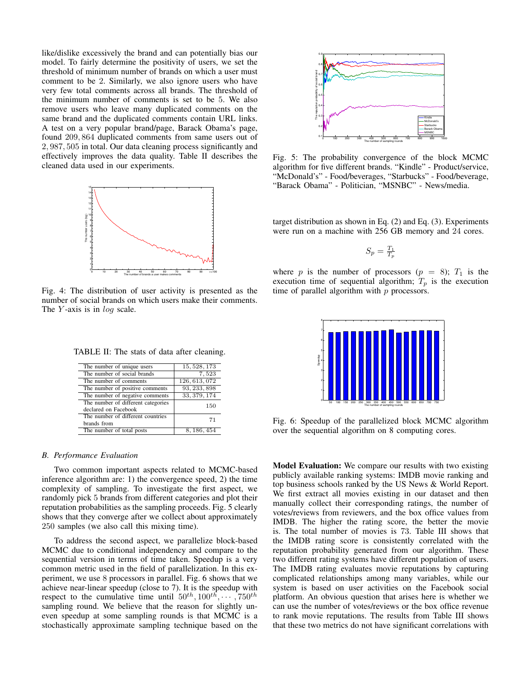like/dislike excessively the brand and can potentially bias our model. To fairly determine the positivity of users, we set the threshold of minimum number of brands on which a user must comment to be 2. Similarly, we also ignore users who have very few total comments across all brands. The threshold of the minimum number of comments is set to be 5. We also remove users who leave many duplicated comments on the same brand and the duplicated comments contain URL links. A test on a very popular brand/page, Barack Obama's page, found 209, 864 duplicated comments from same users out of 2, 987, 505 in total. Our data cleaning process significantly and effectively improves the data quality. Table II describes the cleaned data used in our experiments.



Fig. 4: The distribution of user activity is presented as the number of social brands on which users make their comments. The  $Y$ -axis is in  $log$  scale.

TABLE II: The stats of data after cleaning.

| The number of unique users         | 15, 528, 173  |
|------------------------------------|---------------|
| The number of social brands        | 7.523         |
| The number of comments             | 126, 613, 072 |
| The number of positive comments    | 93, 233, 898  |
| The number of negative comments    | 33, 379, 174  |
| The number of different categories | 150           |
| declared on Facebook               |               |
| The number of different countries  | 71            |
| brands from                        |               |
| The number of total posts          | 8, 186, 454   |

#### *B. Performance Evaluation*

Two common important aspects related to MCMC-based inference algorithm are: 1) the convergence speed, 2) the time complexity of sampling. To investigate the first aspect, we randomly pick 5 brands from different categories and plot their reputation probabilities as the sampling proceeds. Fig. 5 clearly shows that they converge after we collect about approximately 250 samples (we also call this mixing time).

To address the second aspect, we parallelize block-based MCMC due to conditional independency and compare to the sequential version in terms of time taken. Speedup is a very common metric used in the field of parallelization. In this experiment, we use 8 processors in parallel. Fig. 6 shows that we achieve near-linear speedup (close to 7). It is the speedup with respect to the cumulative time until  $50^{th}$ ,  $100^{th}$ ,  $\cdots$ ,  $750^{th}$ sampling round. We believe that the reason for slightly uneven speedup at some sampling rounds is that MCMC is a



Fig. 5: The probability convergence of the block MCMC algorithm for five different brands. "Kindle" - Product/service, "McDonald's" - Food/beverages, "Starbucks" - Food/beverage, "Barack Obama" - Politician, "MSNBC" - News/media.

target distribution as shown in Eq. (2) and Eq. (3). Experiments were run on a machine with 256 GB memory and 24 cores.

$$
S_p = \tfrac{T_1}{T_p}
$$

where p is the number of processors ( $p = 8$ );  $T_1$  is the execution time of sequential algorithm;  $T_p$  is the execution time of parallel algorithm with  $p$  processors.



Fig. 6: Speedup of the parallelized block MCMC algorithm over the sequential algorithm on 8 computing cores.

stochastically approximate sampling technique based on the 0 100 200 300 400 500 600 700 800 900 1000 Model Evaluation: We compare our results with two existing publicly available ranking systems: IMDB movie ranking and top business schools ranked by the US News & World Report. We first extract all movies existing in our dataset and then manually collect their corresponding ratings, the number of votes/reviews from reviewers, and the box office values from IMDB. The higher the rating score, the better the movie is. The total number of movies is 73. Table III shows that the IMDB rating score is consistently correlated with the reputation probability generated from our algorithm. These two different rating systems have different population of users. The IMDB rating evaluates movie reputations by capturing complicated relationships among many variables, while our system is based on user activities on the Facebook social platform. An obvious question that arises here is whether we can use the number of votes/reviews or the box office revenue to rank movie reputations. The results from Table III shows that these two metrics do not have significant correlations with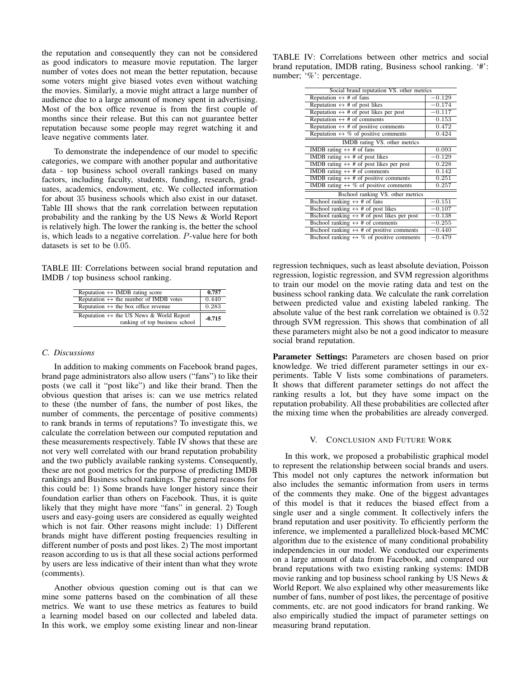the reputation and consequently they can not be considered as good indicators to measure movie reputation. The larger number of votes does not mean the better reputation, because some voters might give biased votes even without watching the movies. Similarly, a movie might attract a large number of audience due to a large amount of money spent in advertising. Most of the box office revenue is from the first couple of months since their release. But this can not guarantee better reputation because some people may regret watching it and leave negative comments later.

To demonstrate the independence of our model to specific categories, we compare with another popular and authoritative data - top business school overall rankings based on many factors, including faculty, students, funding, research, graduates, academics, endowment, etc. We collected information for about 35 business schools which also exist in our dataset. Table III shows that the rank correlation between reputation probability and the ranking by the US News & World Report is relatively high. The lower the ranking is, the better the school is, which leads to a negative correlation. P-value here for both datasets is set to be 0.05.

TABLE III: Correlations between social brand reputation and IMDB / top business school ranking.

| Reputation $\leftrightarrow$ IMDB rating score                                            | 0.757    |
|-------------------------------------------------------------------------------------------|----------|
| Reputation $\leftrightarrow$ the number of IMDB votes                                     | 0.440    |
| Reputation $\leftrightarrow$ the box office revenue                                       | 0.283    |
| Reputation $\leftrightarrow$ the US News & World Report<br>ranking of top business school | $-0.715$ |

## *C. Discussions*

In addition to making comments on Facebook brand pages, brand page administrators also allow users ("fans") to like their posts (we call it "post like") and like their brand. Then the obvious question that arises is: can we use metrics related to these (the number of fans, the number of post likes, the number of comments, the percentage of positive comments) to rank brands in terms of reputations? To investigate this, we calculate the correlation between our computed reputation and these measurements respectively. Table IV shows that these are not very well correlated with our brand reputation probability and the two publicly available ranking systems. Consequently, these are not good metrics for the purpose of predicting IMDB rankings and Business school rankings. The general reasons for this could be: 1) Some brands have longer history since their foundation earlier than others on Facebook. Thus, it is quite likely that they might have more "fans" in general. 2) Tough users and easy-going users are considered as equally weighted which is not fair. Other reasons might include: 1) Different brands might have different posting frequencies resulting in different number of posts and post likes. 2) The most important reason according to us is that all these social actions performed by users are less indicative of their intent than what they wrote (comments).

Another obvious question coming out is that can we mine some patterns based on the combination of all these metrics. We want to use these metrics as features to build a learning model based on our collected and labeled data. In this work, we employ some existing linear and non-linear

TABLE IV: Correlations between other metrics and social brand reputation, IMDB rating, Business school ranking. '#': number; '%': percentage.

| Social brand reputation VS. other metrics |  |  |  |  |
|-------------------------------------------|--|--|--|--|
| $-0.129$                                  |  |  |  |  |
| $-0.174$                                  |  |  |  |  |
| 0.117                                     |  |  |  |  |
| 0.153                                     |  |  |  |  |
| 0.472                                     |  |  |  |  |
| 0.424                                     |  |  |  |  |
| IMDB rating VS. other metrics             |  |  |  |  |
| 0.093                                     |  |  |  |  |
| $-0.129$                                  |  |  |  |  |
| 0.228                                     |  |  |  |  |
| 0.142                                     |  |  |  |  |
| 0.251                                     |  |  |  |  |
| 0.257                                     |  |  |  |  |
| Bschool ranking VS. other metrics         |  |  |  |  |
| $-0.151$                                  |  |  |  |  |
| $-0.107$                                  |  |  |  |  |
| $-0.138$                                  |  |  |  |  |
| $-0.255$                                  |  |  |  |  |
| $-0.440$                                  |  |  |  |  |
| $-0.479$                                  |  |  |  |  |
|                                           |  |  |  |  |

regression techniques, such as least absolute deviation, Poisson regression, logistic regression, and SVM regression algorithms to train our model on the movie rating data and test on the business school ranking data. We calculate the rank correlation between predicted value and existing labeled ranking. The absolute value of the best rank correlation we obtained is 0.52 through SVM regression. This shows that combination of all these parameters might also be not a good indicator to measure social brand reputation.

Parameter Settings: Parameters are chosen based on prior knowledge. We tried different parameter settings in our experiments. Table V lists some combinations of parameters. It shows that different parameter settings do not affect the ranking results a lot, but they have some impact on the reputation probability. All these probabilities are collected after the mixing time when the probabilities are already converged.

#### V. CONCLUSION AND FUTURE WORK

In this work, we proposed a probabilistic graphical model to represent the relationship between social brands and users. This model not only captures the network information but also includes the semantic information from users in terms of the comments they make. One of the biggest advantages of this model is that it reduces the biased effect from a single user and a single comment. It collectively infers the brand reputation and user positivity. To efficiently perform the inference, we implemented a parallelized block-based MCMC algorithm due to the existence of many conditional probability independencies in our model. We conducted our experiments on a large amount of data from Facebook, and compared our brand reputations with two existing ranking systems: IMDB movie ranking and top business school ranking by US News & World Report. We also explained why other measurements like number of fans, number of post likes, the percentage of positive comments, etc. are not good indicators for brand ranking. We also empirically studied the impact of parameter settings on measuring brand reputation.